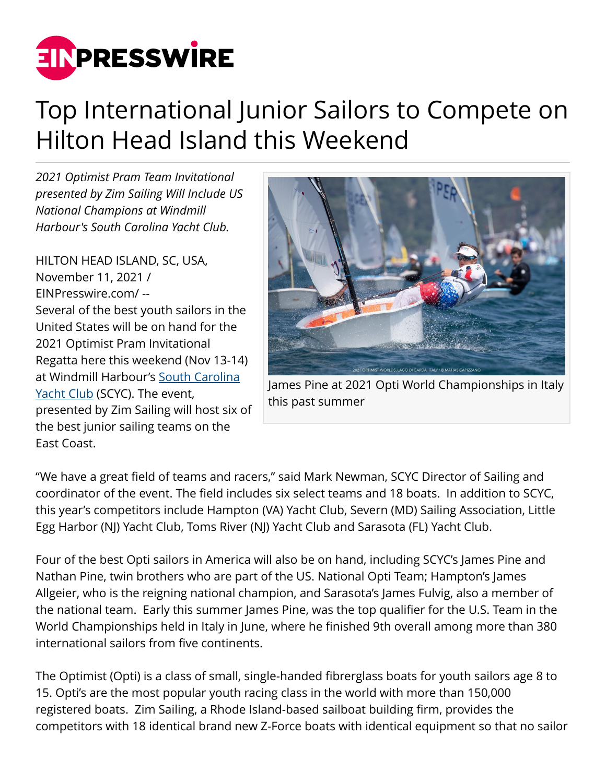

## Top International Junior Sailors to Compete on Hilton Head Island this Weekend

*2021 Optimist Pram Team Invitational presented by Zim Sailing Will Include US National Champions at Windmill Harbour's South Carolina Yacht Club.*

HILTON HEAD ISLAND, SC, USA, November 11, 2021 / [EINPresswire.com](http://www.einpresswire.com)/ -- Several of the best youth sailors in the United States will be on hand for the 2021 Optimist Pram Invitational Regatta here this weekend (Nov 13-14) at Windmill Harbour's [South Carolina](http://www.scyachtclub.com) [Yacht Club](http://www.scyachtclub.com) (SCYC). The event, presented by Zim Sailing will host six of the best junior sailing teams on the East Coast.



James Pine at 2021 Opti World Championships in Italy this past summer

"We have a great field of teams and racers," said Mark Newman, SCYC Director of Sailing and coordinator of the event. The field includes six select teams and 18 boats. In addition to SCYC, this year's competitors include Hampton (VA) Yacht Club, Severn (MD) Sailing Association, Little Egg Harbor (NJ) Yacht Club, Toms River (NJ) Yacht Club and Sarasota (FL) Yacht Club.

Four of the best Opti sailors in America will also be on hand, including SCYC's James Pine and Nathan Pine, twin brothers who are part of the US. National Opti Team; Hampton's James Allgeier, who is the reigning national champion, and Sarasota's James Fulvig, also a member of the national team. Early this summer James Pine, was the top qualifier for the U.S. Team in the World Championships held in Italy in June, where he finished 9th overall among more than 380 international sailors from five continents.

The Optimist (Opti) is a class of small, single-handed fibrerglass boats for youth sailors age 8 to 15. Opti's are the most popular youth racing class in the world with more than 150,000 registered boats. Zim Sailing, a Rhode Island-based sailboat building firm, provides the competitors with 18 identical brand new Z-Force boats with identical equipment so that no sailor